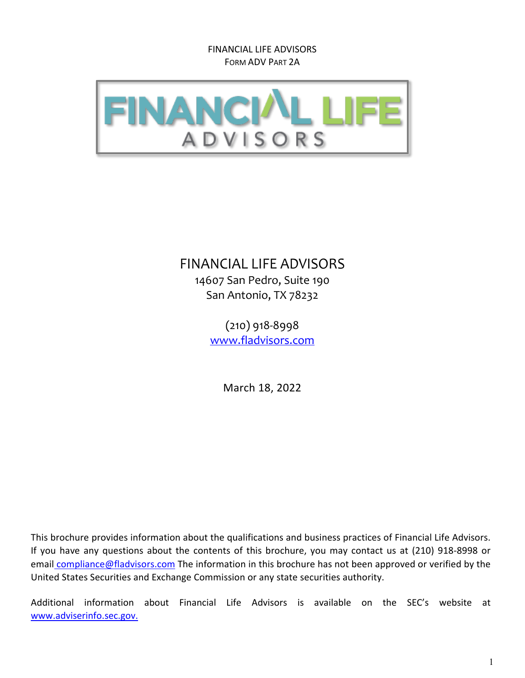

# FINANCIAL LIFE ADVISORS

14607 San Pedro, Suite 190 San Antonio, TX 78232

> (210) 918-8998 [www.fladvisors.com](http://www.crossgroup.com/)

> > March 18, 2022

This brochure provides information about the qualifications and business practices of Financial Life Advisors. If you have any questions about the contents of this brochure, you may contact us at (210) 918-8998 or [email](mailto:email_kwf@crossgroup.com) compliance@fladvisors.com The information in this brochure has not been approved or verified by the United States Securities and Exchange Commission or any state securities authority.

Additional information about Financial Life Advisors is available on the SEC's website at [www.adviserinfo.sec.gov.](http://www.adviserinfo.sec.gov/)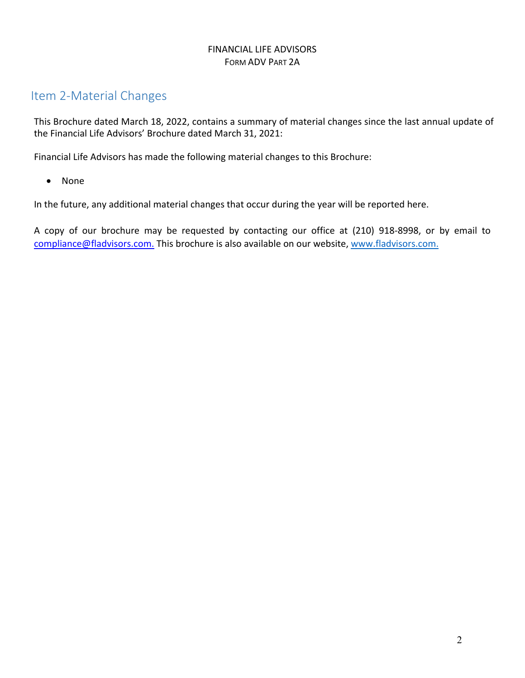# <span id="page-1-0"></span>Item 2‐Material Changes

<span id="page-1-1"></span>This Brochure dated March 18, 2022, contains a summary of material changes since the last annual update of the Financial Life Advisors' Brochure dated March 31, 2021:

Financial Life Advisors has made the following material changes to this Brochure:

• None

In the future, any additional material changes that occur during the year will be reported here.

A copy of our brochure may be requested by contacting our office at (210) 918-8998, or by email to compliance@fladvisors.com. This brochure is also available on our website, www.fladvisors.com.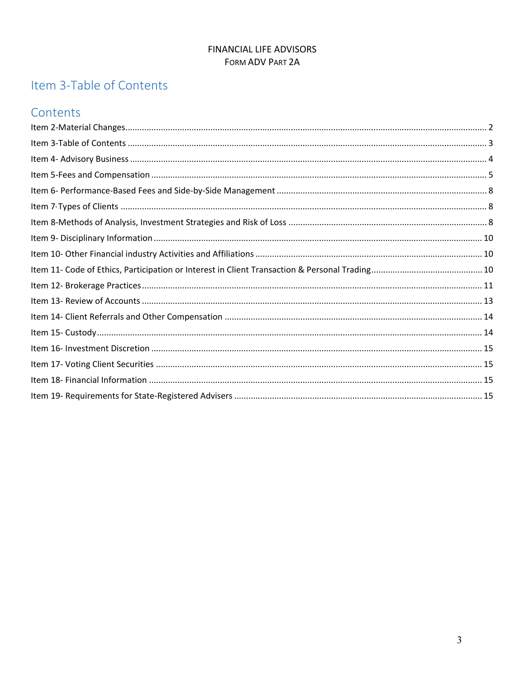# Item 3-Table of Contents

# Contents

<span id="page-2-0"></span>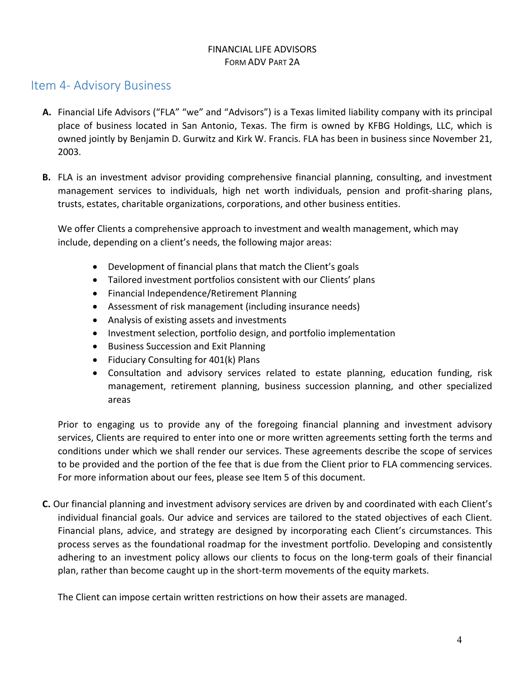## Item 4‐ Advisory Business

- **A.** Financial Life Advisors ("FLA" "we" and "Advisors") is a Texas limited liability company with its principal place of business located in San Antonio, Texas. The firm is owned by KFBG Holdings, LLC, which is owned jointly by Benjamin D. Gurwitz and Kirk W. Francis. FLA has been in business since November 21, 2003.
- **B.** FLA is an investment advisor providing comprehensive financial planning, consulting, and investment management services to individuals, high net worth individuals, pension and profit-sharing plans, trusts, estates, charitable organizations, corporations, and other business entities.

We offer Clients a comprehensive approach to investment and wealth management, which may include, depending on a client's needs, the following major areas:

- Development of financial plans that match the Client's goals
- Tailored investment portfolios consistent with our Clients' plans
- Financial Independence/Retirement Planning
- Assessment of risk management (including insurance needs)
- Analysis of existing assets and investments
- Investment selection, portfolio design, and portfolio implementation
- Business Succession and Exit Planning
- Fiduciary Consulting for 401(k) Plans
- Consultation and advisory services related to estate planning, education funding, risk management, retirement planning, business succession planning, and other specialized areas

Prior to engaging us to provide any of the foregoing financial planning and investment advisory services, Clients are required to enter into one or more written agreements setting forth the terms and conditions under which we shall render our services. These agreements describe the scope of services to be provided and the portion of the fee that is due from the Client prior to FLA commencing services. For more information about our fees, please see Item 5 of this document.

**C.** Our financial planning and investment advisory services are driven by and coordinated with each Client's individual financial goals. Our advice and services are tailored to the stated objectives of each Client. Financial plans, advice, and strategy are designed by incorporating each Client's circumstances. This process serves as the foundational roadmap for the investment portfolio. Developing and consistently adhering to an investment policy allows our clients to focus on the long-term goals of their financial plan, rather than become caught up in the short-term movements of the equity markets.

The Client can impose certain written restrictions on how their assets are managed.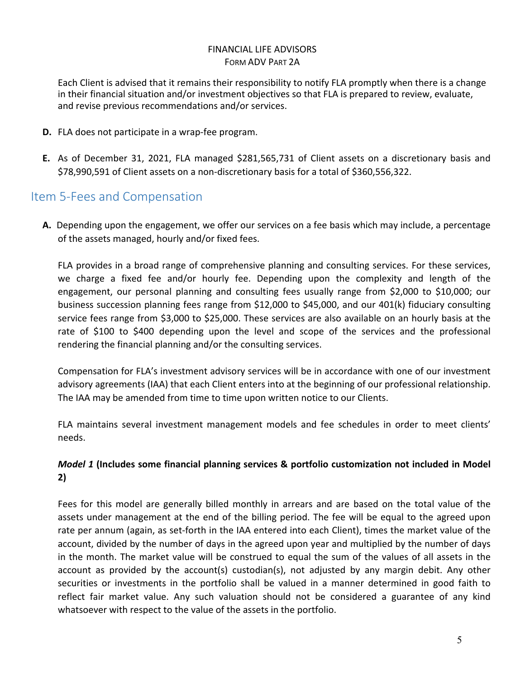Each Client is advised that it remains their responsibility to notify FLA promptly when there is a change in their financial situation and/or investment objectives so that FLA is prepared to review, evaluate, and revise previous recommendations and/or services.

- **D.** FLA does not participate in a wrap-fee program.
- **E.** As of December 31, 2021, FLA managed \$281,565,731 of Client assets on a discretionary basis and \$78,990,591 of Client assets on a non-discretionary basis for a total of \$360,556,322.

# <span id="page-4-0"></span>Item 5‐Fees and Compensation

**A.** Depending upon the engagement, we offer our services on a fee basis which may include, a percentage of the assets managed, hourly and/or fixed fees.

FLA provides in a broad range of comprehensive planning and consulting services. For these services, we charge a fixed fee and/or hourly fee. Depending upon the complexity and length of the engagement, our personal planning and consulting fees usually range from \$2,000 to \$10,000; our business succession planning fees range from \$12,000 to \$45,000, and our 401(k) fiduciary consulting service fees range from \$3,000 to \$25,000. These services are also available on an hourly basis at the rate of \$100 to \$400 depending upon the level and scope of the services and the professional rendering the financial planning and/or the consulting services.

Compensation for FLA's investment advisory services will be in accordance with one of our investment advisory agreements (IAA) that each Client enters into at the beginning of our professional relationship. The IAA may be amended from time to time upon written notice to our Clients.

FLA maintains several investment management models and fee schedules in order to meet clients' needs.

### *Model 1* **(Includes some financial planning services & portfolio customization not included in Model 2)**

Fees for this model are generally billed monthly in arrears and are based on the total value of the assets under management at the end of the billing period. The fee will be equal to the agreed upon rate per annum (again, as set-forth in the IAA entered into each Client), times the market value of the account, divided by the number of days in the agreed upon year and multiplied by the number of days in the month. The market value will be construed to equal the sum of the values of all assets in the account as provided by the account(s) custodian(s), not adjusted by any margin debit. Any other securities or investments in the portfolio shall be valued in a manner determined in good faith to reflect fair market value. Any such valuation should not be considered a guarantee of any kind whatsoever with respect to the value of the assets in the portfolio.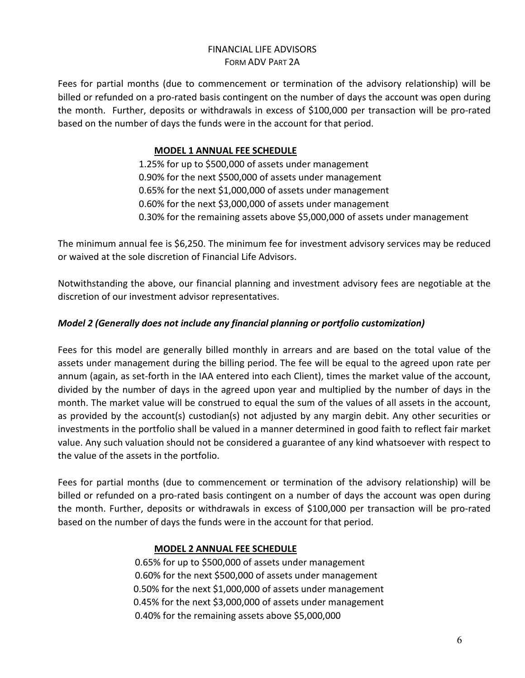Fees for partial months (due to commencement or termination of the advisory relationship) will be billed or refunded on a pro-rated basis contingent on the number of days the account was open during the month. Further, deposits or withdrawals in excess of \$100,000 per transaction will be pro-rated based on the number of days the funds were in the account for that period.

### **MODEL 1 ANNUAL FEE SCHEDULE**

1.25% for up to \$500,000 of assets under management 0.90% for the next \$500,000 of assets under management 0.65% for the next \$1,000,000 of assets under management 0.60% for the next \$3,000,000 of assets under management 0.30% for the remaining assets above \$5,000,000 of assets under management

The minimum annual fee is \$6,250. The minimum fee for investment advisory services may be reduced or waived at the sole discretion of Financial Life Advisors.

Notwithstanding the above, our financial planning and investment advisory fees are negotiable at the discretion of our investment advisor representatives.

### *Model 2 (Generally does not include any financial planning or portfolio customization)*

Fees for this model are generally billed monthly in arrears and are based on the total value of the assets under management during the billing period. The fee will be equal to the agreed upon rate per annum (again, as set-forth in the IAA entered into each Client), times the market value of the account, divided by the number of days in the agreed upon year and multiplied by the number of days in the month. The market value will be construed to equal the sum of the values of all assets in the account, as provided by the account(s) custodian(s) not adjusted by any margin debit. Any other securities or investments in the portfolio shall be valued in a manner determined in good faith to reflect fair market value. Any such valuation should not be considered a guarantee of any kind whatsoever with respect to the value of the assets in the portfolio.

Fees for partial months (due to commencement or termination of the advisory relationship) will be billed or refunded on a pro-rated basis contingent on a number of days the account was open during the month. Further, deposits or withdrawals in excess of \$100,000 per transaction will be pro-rated based on the number of days the funds were in the account for that period.

### **MODEL 2 ANNUAL FEE SCHEDULE**

 0.65% for up to \$500,000 of assets under management 0.60% for the next \$500,000 of assets under management 0.50% for the next \$1,000,000 of assets under management 0.45% for the next \$3,000,000 of assets under management 0.40% for the remaining assets above \$5,000,000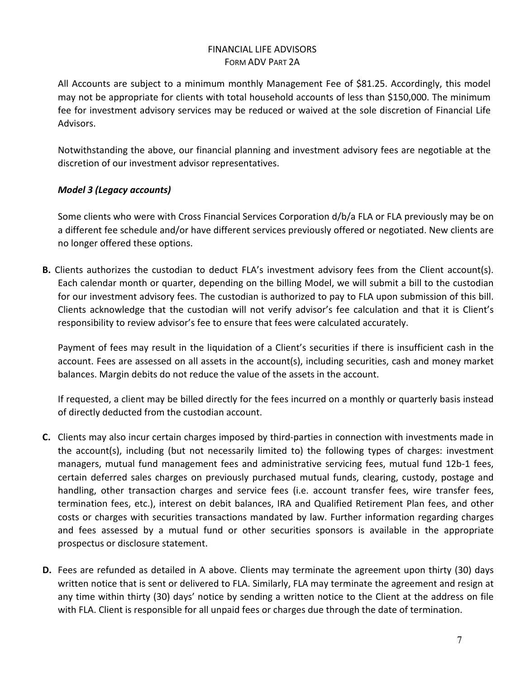All Accounts are subject to a minimum monthly Management Fee of \$81.25. Accordingly, this model may not be appropriate for clients with total household accounts of less than \$150,000. The minimum fee for investment advisory services may be reduced or waived at the sole discretion of Financial Life Advisors.

Notwithstanding the above, our financial planning and investment advisory fees are negotiable at the discretion of our investment advisor representatives.

### *Model 3 (Legacy accounts)*

Some clients who were with Cross Financial Services Corporation d/b/a FLA or FLA previously may be on a different fee schedule and/or have different services previously offered or negotiated. New clients are no longer offered these options.

**B.** Clients authorizes the custodian to deduct FLA's investment advisory fees from the Client account(s). Each calendar month or quarter, depending on the billing Model, we will submit a bill to the custodian for our investment advisory fees. The custodian is authorized to pay to FLA upon submission of this bill. Clients acknowledge that the custodian will not verify advisor's fee calculation and that it is Client's responsibility to review advisor's fee to ensure that fees were calculated accurately.

Payment of fees may result in the liquidation of a Client's securities if there is insufficient cash in the account. Fees are assessed on all assets in the account(s), including securities, cash and money market balances. Margin debits do not reduce the value of the assets in the account.

If requested, a client may be billed directly for the fees incurred on a monthly or quarterly basis instead of directly deducted from the custodian account.

- **C.** Clients may also incur certain charges imposed by third-parties in connection with investments made in the account(s), including (but not necessarily limited to) the following types of charges: investment managers, mutual fund management fees and administrative servicing fees, mutual fund 12b-1 fees, certain deferred sales charges on previously purchased mutual funds, clearing, custody, postage and handling, other transaction charges and service fees (i.e. account transfer fees, wire transfer fees, termination fees, etc.), interest on debit balances, IRA and Qualified Retirement Plan fees, and other costs or charges with securities transactions mandated by law. Further information regarding charges and fees assessed by a mutual fund or other securities sponsors is available in the appropriate prospectus or disclosure statement.
- **D.** Fees are refunded as detailed in A above. Clients may terminate the agreement upon thirty (30) days written notice that is sent or delivered to FLA. Similarly, FLA may terminate the agreement and resign at any time within thirty (30) days' notice by sending a written notice to the Client at the address on file with FLA. Client is responsible for all unpaid fees or charges due through the date of termination.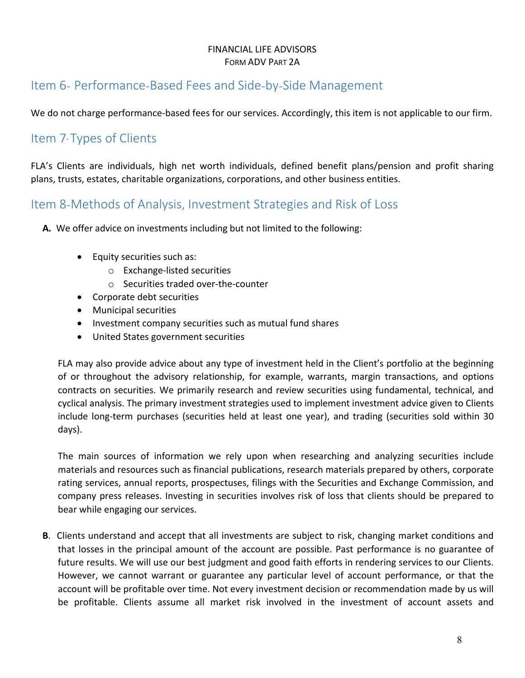# <span id="page-7-0"></span>Item 6- Performance-Based Fees and Side-by-Side Management

<span id="page-7-1"></span>We do not charge performance-based fees for our services. Accordingly, this item is not applicable to our firm.

# Item 7- Types of Clients

FLA's Clients are individuals, high net worth individuals, defined benefit plans/pension and profit sharing plans, trusts, estates, charitable organizations, corporations, and other business entities.

# <span id="page-7-2"></span>Item 8-Methods of Analysis, Investment Strategies and Risk of Loss

**A.** We offer advice on investments including but not limited to the following:

- Equity securities such as:
	- o Exchange-listed securities
	- o Securities traded over-the-counter
- Corporate debt securities
- Municipal securities
- Investment company securities such as mutual fund shares
- United States government securities

FLA may also provide advice about any type of investment held in the Client's portfolio at the beginning of or throughout the advisory relationship, for example, warrants, margin transactions, and options contracts on securities. We primarily research and review securities using fundamental, technical, and cyclical analysis. The primary investment strategies used to implement investment advice given to Clients include long-term purchases (securities held at least one year), and trading (securities sold within 30 days).

The main sources of information we rely upon when researching and analyzing securities include materials and resources such as financial publications, research materials prepared by others, corporate rating services, annual reports, prospectuses, filings with the Securities and Exchange Commission, and company press releases. Investing in securities involves risk of loss that clients should be prepared to bear while engaging our services.

**B**. Clients understand and accept that all investments are subject to risk, changing market conditions and that losses in the principal amount of the account are possible. Past performance is no guarantee of future results. We will use our best judgment and good faith efforts in rendering services to our Clients. However, we cannot warrant or guarantee any particular level of account performance, or that the account will be profitable over time. Not every investment decision or recommendation made by us will be profitable. Clients assume all market risk involved in the investment of account assets and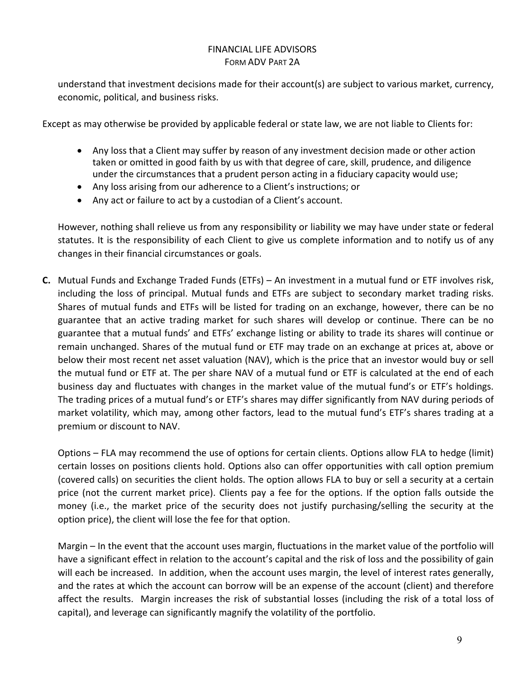understand that investment decisions made for their account(s) are subject to various market, currency, economic, political, and business risks.

Except as may otherwise be provided by applicable federal or state law, we are not liable to Clients for:

- Any loss that a Client may suffer by reason of any investment decision made or other action taken or omitted in good faith by us with that degree of care, skill, prudence, and diligence under the circumstances that a prudent person acting in a fiduciary capacity would use;
- Any loss arising from our adherence to a Client's instructions; or
- Any act or failure to act by a custodian of a Client's account.

However, nothing shall relieve us from any responsibility or liability we may have under state or federal statutes. It is the responsibility of each Client to give us complete information and to notify us of any changes in their financial circumstances or goals.

**C.** Mutual Funds and Exchange Traded Funds (ETFs) – An investment in a mutual fund or ETF involves risk, including the loss of principal. Mutual funds and ETFs are subject to secondary market trading risks. Shares of mutual funds and ETFs will be listed for trading on an exchange, however, there can be no guarantee that an active trading market for such shares will develop or continue. There can be no guarantee that a mutual funds' and ETFs' exchange listing or ability to trade its shares will continue or remain unchanged. Shares of the mutual fund or ETF may trade on an exchange at prices at, above or below their most recent net asset valuation (NAV), which is the price that an investor would buy or sell the mutual fund or ETF at. The per share NAV of a mutual fund or ETF is calculated at the end of each business day and fluctuates with changes in the market value of the mutual fund's or ETF's holdings. The trading prices of a mutual fund's or ETF's shares may differ significantly from NAV during periods of market volatility, which may, among other factors, lead to the mutual fund's ETF's shares trading at a premium or discount to NAV.

Options – FLA may recommend the use of options for certain clients. Options allow FLA to hedge (limit) certain losses on positions clients hold. Options also can offer opportunities with call option premium (covered calls) on securities the client holds. The option allows FLA to buy or sell a security at a certain price (not the current market price). Clients pay a fee for the options. If the option falls outside the money (i.e., the market price of the security does not justify purchasing/selling the security at the option price), the client will lose the fee for that option.

Margin – In the event that the account uses margin, fluctuations in the market value of the portfolio will have a significant effect in relation to the account's capital and the risk of loss and the possibility of gain will each be increased. In addition, when the account uses margin, the level of interest rates generally, and the rates at which the account can borrow will be an expense of the account (client) and therefore affect the results. Margin increases the risk of substantial losses (including the risk of a total loss of capital), and leverage can significantly magnify the volatility of the portfolio.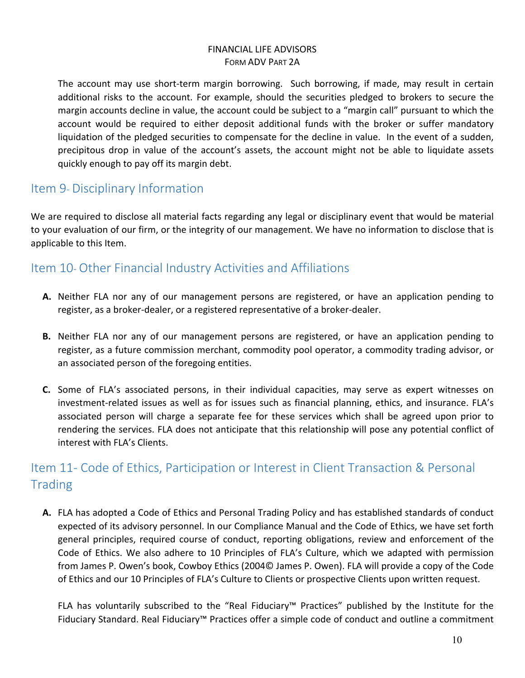The account may use short-term margin borrowing. Such borrowing, if made, may result in certain additional risks to the account. For example, should the securities pledged to brokers to secure the margin accounts decline in value, the account could be subject to a "margin call" pursuant to which the account would be required to either deposit additional funds with the broker or suffer mandatory liquidation of the pledged securities to compensate for the decline in value. In the event of a sudden, precipitous drop in value of the account's assets, the account might not be able to liquidate assets quickly enough to pay off its margin debt.

## <span id="page-9-0"></span>Item 9- Disciplinary Information

We are required to disclose all material facts regarding any legal or disciplinary event that would be material to your evaluation of our firm, or the integrity of our management. We have no information to disclose that is applicable to this Item.

# <span id="page-9-1"></span>Item 10- Other Financial Industry Activities and Affiliations

- **A.** Neither FLA nor any of our management persons are registered, or have an application pending to register, as a broker-dealer, or a registered representative of a broker-dealer.
- **B.** Neither FLA nor any of our management persons are registered, or have an application pending to register, as a future commission merchant, commodity pool operator, a commodity trading advisor, or an associated person of the foregoing entities.
- **C.** Some of FLA's associated persons, in their individual capacities, may serve as expert witnesses on investment-related issues as well as for issues such as financial planning, ethics, and insurance. FLA's associated person will charge a separate fee for these services which shall be agreed upon prior to rendering the services. FLA does not anticipate that this relationship will pose any potential conflict of interest with FLA's Clients.

# <span id="page-9-2"></span>Item 11- Code of Ethics, Participation or Interest in Client Transaction & Personal **Trading**

**A.** FLA has adopted a Code of Ethics and Personal Trading Policy and has established standards of conduct expected of its advisory personnel. In our Compliance Manual and the Code of Ethics, we have set forth general principles, required course of conduct, reporting obligations, review and enforcement of the Code of Ethics. We also adhere to 10 Principles of FLA's Culture, which we adapted with permission from James P. Owen's book, Cowboy Ethics (2004© James P. Owen). FLA will provide a copy of the Code of Ethics and our 10 Principles of FLA's Culture to Clients or prospective Clients upon written request.

FLA has voluntarily subscribed to the "Real Fiduciary™ Practices" published by the Institute for the Fiduciary Standard. Real Fiduciary™ Practices offer a simple code of conduct and outline a commitment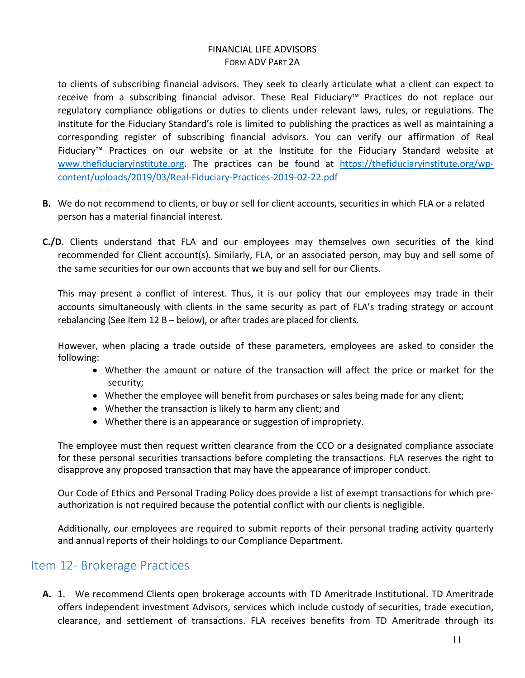to clients of subscribing financial advisors. They seek to clearly articulate what a client can expect to receive from a subscribing financial advisor. These Real Fiduciary™ Practices do not replace our regulatory compliance obligations or duties to clients under relevant laws, rules, or regulations. The Institute for the Fiduciary Standard's role is limited to publishing the practices as well as maintaining a corresponding register of subscribing financial advisors. You can verify our affirmation of Real Fiduciary™ Practices on our website or at the Institute for the Fiduciary Standard website at www.thefiduciaryinstitute.org. The practices can be found at [https://thefiduciaryinstitute.org/wp](https://thefiduciaryinstitute.org/wp-content/uploads/2019/03/Real-Fiduciary-Practices-2019-02-22.pdf)[content/uploads/2019/03/Real-Fiduciary-Practices-2019-02-22.pdf](https://thefiduciaryinstitute.org/wp-content/uploads/2019/03/Real-Fiduciary-Practices-2019-02-22.pdf)

- **B.** We do not recommend to clients, or buy or sell for client accounts, securities in which FLA or a related person has a material financial interest.
- **C./D**. Clients understand that FLA and our employees may themselves own securities of the kind recommended for Client account(s). Similarly, FLA, or an associated person, may buy and sell some of the same securities for our own accounts that we buy and sell for our Clients.

This may present a conflict of interest. Thus, it is our policy that our employees may trade in their accounts simultaneously with clients in the same security as part of FLA's trading strategy or account rebalancing (See Item 12 B – below), or after trades are placed for clients.

However, when placing a trade outside of these parameters, employees are asked to consider the following:

- Whether the amount or nature of the transaction will affect the price or market for the security;
- Whether the employee will benefit from purchases or sales being made for any client;
- Whether the transaction is likely to harm any client; and
- Whether there is an appearance or suggestion of impropriety.

The employee must then request written clearance from the CCO or a designated compliance associate for these personal securities transactions before completing the transactions. FLA reserves the right to disapprove any proposed transaction that may have the appearance of improper conduct.

Our Code of Ethics and Personal Trading Policy does provide a list of exempt transactions for which preauthorization is not required because the potential conflict with our clients is negligible.

Additionally, our employees are required to submit reports of their personal trading activity quarterly and annual reports of their holdings to our Compliance Department.

### <span id="page-10-0"></span>Item 12‐ Brokerage Practices

**A.** 1.We recommend Clients open brokerage accounts with TD Ameritrade Institutional. TD Ameritrade offers independent investment Advisors, services which include custody of securities, trade execution, clearance, and settlement of transactions. FLA receives benefits from TD Ameritrade through its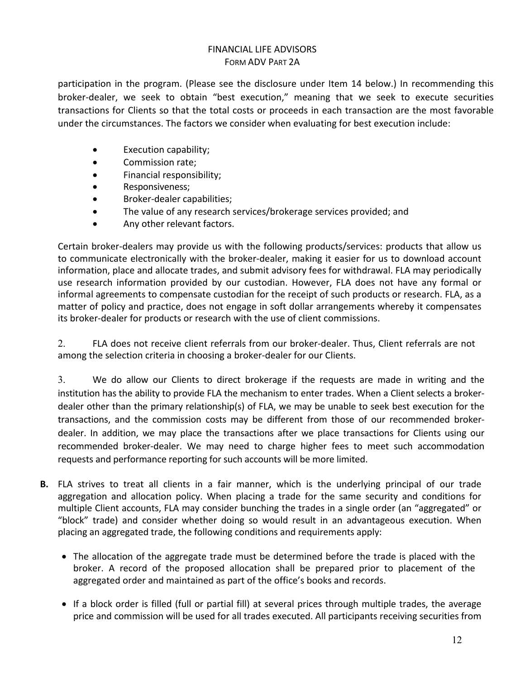participation in the program. (Please see the disclosure under Item 14 below.) In recommending this broker-dealer, we seek to obtain "best execution," meaning that we seek to execute securities transactions for Clients so that the total costs or proceeds in each transaction are the most favorable under the circumstances. The factors we consider when evaluating for best execution include:

- Execution capability;
- Commission rate;
- Financial responsibility;
- Responsiveness;
- Broker-dealer capabilities;
- The value of any research services/brokerage services provided; and
- Any other relevant factors.

Certain broker-dealers may provide us with the following products/services: products that allow us to communicate electronically with the broker-dealer, making it easier for us to download account information, place and allocate trades, and submit advisory fees for withdrawal. FLA may periodically use research information provided by our custodian. However, FLA does not have any formal or informal agreements to compensate custodian for the receipt of such products or research. FLA, as a matter of policy and practice, does not engage in soft dollar arrangements whereby it compensates its broker-dealer for products or research with the use of client commissions.

2. FLA does not receive client referrals from our broker-dealer. Thus, Client referrals are not among the selection criteria in choosing a broker-dealer for our Clients.

3. We do allow our Clients to direct brokerage if the requests are made in writing and the institution has the ability to provide FLA the mechanism to enter trades. When a Client selects a brokerdealer other than the primary relationship(s) of FLA, we may be unable to seek best execution for the transactions, and the commission costs may be different from those of our recommended brokerdealer. In addition, we may place the transactions after we place transactions for Clients using our recommended broker-dealer. We may need to charge higher fees to meet such accommodation requests and performance reporting for such accounts will be more limited.

- **B.** FLA strives to treat all clients in a fair manner, which is the underlying principal of our trade aggregation and allocation policy. When placing a trade for the same security and conditions for multiple Client accounts, FLA may consider bunching the trades in a single order (an "aggregated" or "block" trade) and consider whether doing so would result in an advantageous execution. When placing an aggregated trade, the following conditions and requirements apply:
	- The allocation of the aggregate trade must be determined before the trade is placed with the broker. A record of the proposed allocation shall be prepared prior to placement of the aggregated order and maintained as part of the office's books and records.
	- If a block order is filled (full or partial fill) at several prices through multiple trades, the average price and commission will be used for all trades executed. All participants receiving securities from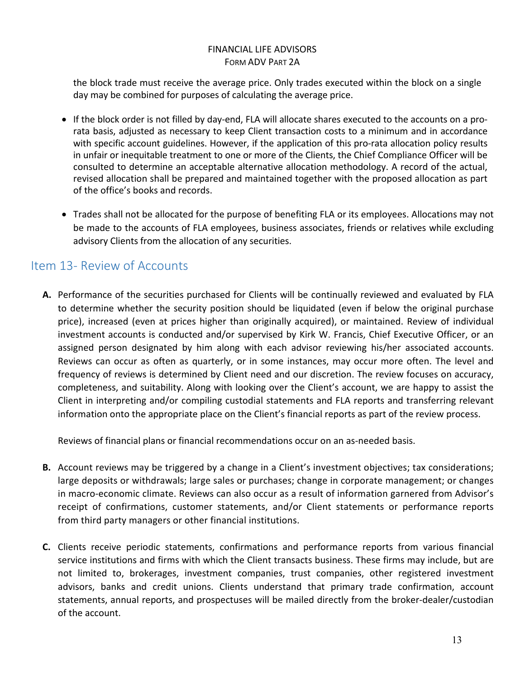the block trade must receive the average price. Only trades executed within the block on a single day may be combined for purposes of calculating the average price.

- If the block order is not filled by day-end, FLA will allocate shares executed to the accounts on a prorata basis, adjusted as necessary to keep Client transaction costs to a minimum and in accordance with specific account guidelines. However, if the application of this pro-rata allocation policy results in unfair or inequitable treatment to one or more of the Clients, the Chief Compliance Officer will be consulted to determine an acceptable alternative allocation methodology. A record of the actual, revised allocation shall be prepared and maintained together with the proposed allocation as part of the office's books and records.
- Trades shall not be allocated for the purpose of benefiting FLA or its employees. Allocations may not be made to the accounts of FLA employees, business associates, friends or relatives while excluding advisory Clients from the allocation of any securities.

# <span id="page-12-0"></span>Item 13‐ Review of Accounts

**A.** Performance of the securities purchased for Clients will be continually reviewed and evaluated by FLA to determine whether the security position should be liquidated (even if below the original purchase price), increased (even at prices higher than originally acquired), or maintained. Review of individual investment accounts is conducted and/or supervised by Kirk W. Francis, Chief Executive Officer, or an assigned person designated by him along with each advisor reviewing his/her associated accounts. Reviews can occur as often as quarterly, or in some instances, may occur more often. The level and frequency of reviews is determined by Client need and our discretion. The review focuses on accuracy, completeness, and suitability. Along with looking over the Client's account, we are happy to assist the Client in interpreting and/or compiling custodial statements and FLA reports and transferring relevant information onto the appropriate place on the Client's financial reports as part of the review process.

Reviews of financial plans or financial recommendations occur on an as-needed basis.

- **B.** Account reviews may be triggered by a change in a Client's investment objectives; tax considerations; large deposits or withdrawals; large sales or purchases; change in corporate management; or changes in macro-economic climate. Reviews can also occur as a result of information garnered from Advisor's receipt of confirmations, customer statements, and/or Client statements or performance reports from third party managers or other financial institutions.
- **C.** Clients receive periodic statements, confirmations and performance reports from various financial service institutions and firms with which the Client transacts business. These firms may include, but are not limited to, brokerages, investment companies, trust companies, other registered investment advisors, banks and credit unions. Clients understand that primary trade confirmation, account statements, annual reports, and prospectuses will be mailed directly from the broker-dealer/custodian of the account.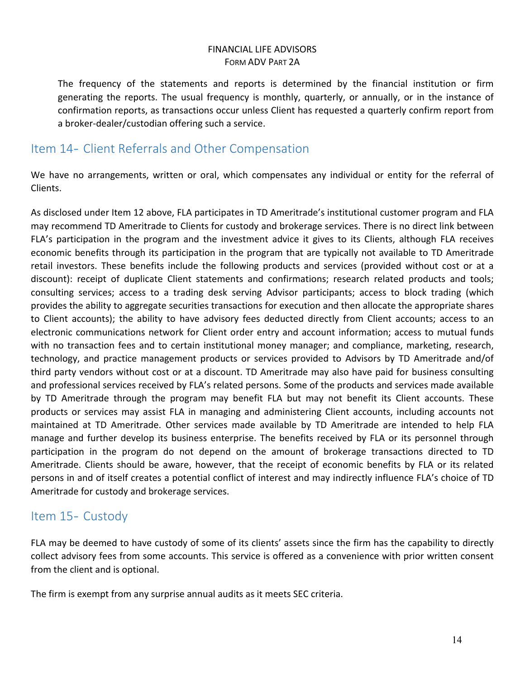The frequency of the statements and reports is determined by the financial institution or firm generating the reports. The usual frequency is monthly, quarterly, or annually, or in the instance of confirmation reports, as transactions occur unless Client has requested a quarterly confirm report from a broker-dealer/custodian offering such a service.

### <span id="page-13-0"></span>Item 14- Client Referrals and Other Compensation

We have no arrangements, written or oral, which compensates any individual or entity for the referral of Clients.

As disclosed under Item 12 above, FLA participates in TD Ameritrade's institutional customer program and FLA may recommend TD Ameritrade to Clients for custody and brokerage services. There is no direct link between FLA's participation in the program and the investment advice it gives to its Clients, although FLA receives economic benefits through its participation in the program that are typically not available to TD Ameritrade retail investors. These benefits include the following products and services (provided without cost or at a discount): receipt of duplicate Client statements and confirmations; research related products and tools; consulting services; access to a trading desk serving Advisor participants; access to block trading (which provides the ability to aggregate securities transactions for execution and then allocate the appropriate shares to Client accounts); the ability to have advisory fees deducted directly from Client accounts; access to an electronic communications network for Client order entry and account information; access to mutual funds with no transaction fees and to certain institutional money manager; and compliance, marketing, research, technology, and practice management products or services provided to Advisors by TD Ameritrade and/of third party vendors without cost or at a discount. TD Ameritrade may also have paid for business consulting and professional services received by FLA's related persons. Some of the products and services made available by TD Ameritrade through the program may benefit FLA but may not benefit its Client accounts. These products or services may assist FLA in managing and administering Client accounts, including accounts not maintained at TD Ameritrade. Other services made available by TD Ameritrade are intended to help FLA manage and further develop its business enterprise. The benefits received by FLA or its personnel through participation in the program do not depend on the amount of brokerage transactions directed to TD Ameritrade. Clients should be aware, however, that the receipt of economic benefits by FLA or its related persons in and of itself creates a potential conflict of interest and may indirectly influence FLA's choice of TD Ameritrade for custody and brokerage services.

# <span id="page-13-1"></span>Item 15- Custody

FLA may be deemed to have custody of some of its clients' assets since the firm has the capability to directly collect advisory fees from some accounts. This service is offered as a convenience with prior written consent from the client and is optional.

The firm is exempt from any surprise annual audits as it meets SEC criteria.